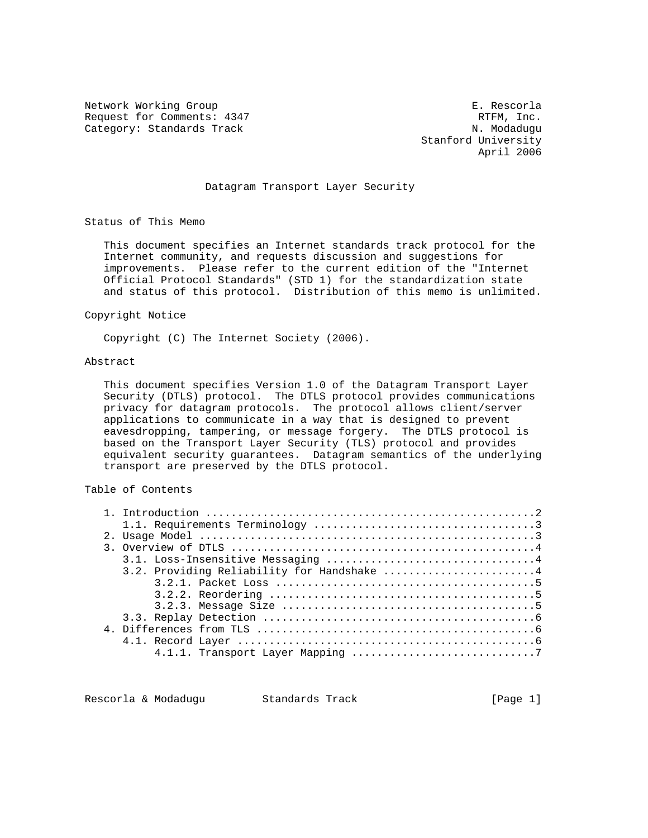Network Working Group **E. Rescords** E. Rescords Request for Comments: 4347 RTFM, Inc. RTFM, Inc.<br>Category: Standards Track Category: M. Modadugu Category: Standards Track

 Stanford University April 2006

# Datagram Transport Layer Security

Status of This Memo

 This document specifies an Internet standards track protocol for the Internet community, and requests discussion and suggestions for improvements. Please refer to the current edition of the "Internet Official Protocol Standards" (STD 1) for the standardization state and status of this protocol. Distribution of this memo is unlimited.

#### Copyright Notice

Copyright (C) The Internet Society (2006).

# Abstract

 This document specifies Version 1.0 of the Datagram Transport Layer Security (DTLS) protocol. The DTLS protocol provides communications privacy for datagram protocols. The protocol allows client/server applications to communicate in a way that is designed to prevent eavesdropping, tampering, or message forgery. The DTLS protocol is based on the Transport Layer Security (TLS) protocol and provides equivalent security guarantees. Datagram semantics of the underlying transport are preserved by the DTLS protocol.

# Table of Contents

| 3.2. Providing Reliability for Handshake 4 |
|--------------------------------------------|
|                                            |
|                                            |
|                                            |
|                                            |
|                                            |
|                                            |
|                                            |

Rescorla & Modadugu Standards Track (Page 1)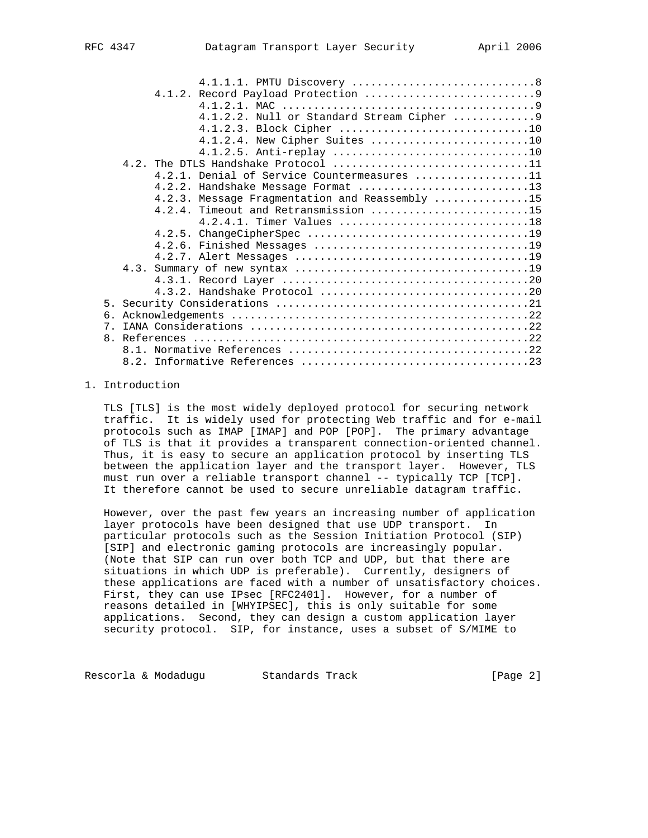|    | 4.1.2.2. Null or Standard Stream Cipher  9     |  |
|----|------------------------------------------------|--|
|    | 4.1.2.3. Block Cipher 10                       |  |
|    | 4.1.2.4. New Cipher Suites 10                  |  |
|    |                                                |  |
|    | 4.2. The DTLS Handshake Protocol 11            |  |
|    | 4.2.1. Denial of Service Countermeasures 11    |  |
|    | 4.2.2. Handshake Message Format 13             |  |
|    | 4.2.3. Message Fragmentation and Reassembly 15 |  |
|    | 4.2.4. Timeout and Retransmission 15           |  |
|    | 4.2.4.1. Timer Values 18                       |  |
|    |                                                |  |
|    |                                                |  |
|    |                                                |  |
|    |                                                |  |
|    |                                                |  |
|    |                                                |  |
|    |                                                |  |
| რ. |                                                |  |
|    |                                                |  |
|    |                                                |  |
|    |                                                |  |
|    |                                                |  |

### 1. Introduction

 TLS [TLS] is the most widely deployed protocol for securing network traffic. It is widely used for protecting Web traffic and for e-mail protocols such as IMAP [IMAP] and POP [POP]. The primary advantage of TLS is that it provides a transparent connection-oriented channel. Thus, it is easy to secure an application protocol by inserting TLS between the application layer and the transport layer. However, TLS must run over a reliable transport channel -- typically TCP [TCP]. It therefore cannot be used to secure unreliable datagram traffic.

8.2. Informative References ....................................23

 However, over the past few years an increasing number of application layer protocols have been designed that use UDP transport. In particular protocols such as the Session Initiation Protocol (SIP) [SIP] and electronic gaming protocols are increasingly popular. (Note that SIP can run over both TCP and UDP, but that there are situations in which UDP is preferable). Currently, designers of these applications are faced with a number of unsatisfactory choices. First, they can use IPsec [RFC2401]. However, for a number of reasons detailed in [WHYIPSEC], this is only suitable for some applications. Second, they can design a custom application layer security protocol. SIP, for instance, uses a subset of S/MIME to

Rescorla & Modadugu Standards Track [Page 2]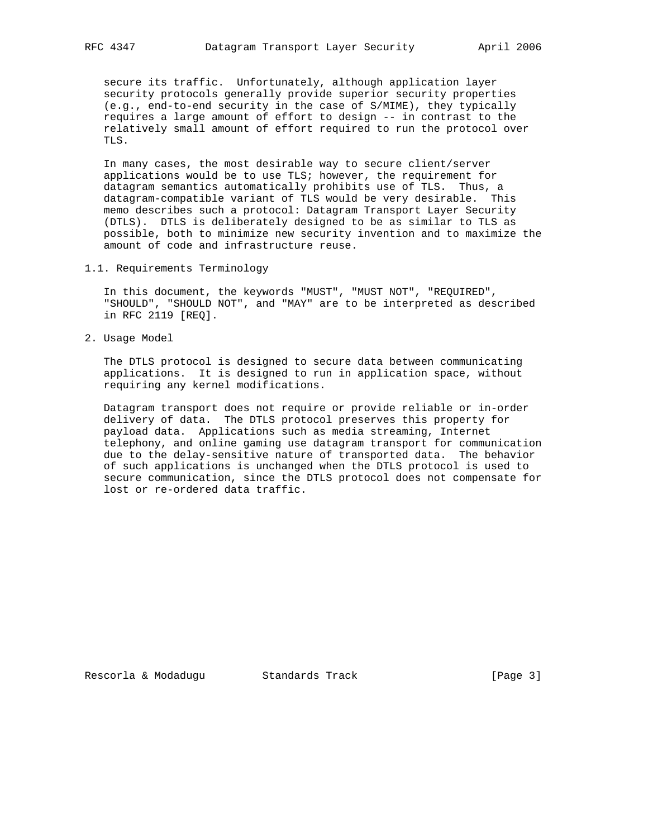secure its traffic. Unfortunately, although application layer security protocols generally provide superior security properties (e.g., end-to-end security in the case of S/MIME), they typically requires a large amount of effort to design -- in contrast to the relatively small amount of effort required to run the protocol over TLS.

 In many cases, the most desirable way to secure client/server applications would be to use TLS; however, the requirement for datagram semantics automatically prohibits use of TLS. Thus, a datagram-compatible variant of TLS would be very desirable. This memo describes such a protocol: Datagram Transport Layer Security (DTLS). DTLS is deliberately designed to be as similar to TLS as possible, both to minimize new security invention and to maximize the amount of code and infrastructure reuse.

1.1. Requirements Terminology

 In this document, the keywords "MUST", "MUST NOT", "REQUIRED", "SHOULD", "SHOULD NOT", and "MAY" are to be interpreted as described in RFC 2119 [REQ].

2. Usage Model

 The DTLS protocol is designed to secure data between communicating applications. It is designed to run in application space, without requiring any kernel modifications.

 Datagram transport does not require or provide reliable or in-order delivery of data. The DTLS protocol preserves this property for payload data. Applications such as media streaming, Internet telephony, and online gaming use datagram transport for communication due to the delay-sensitive nature of transported data. The behavior of such applications is unchanged when the DTLS protocol is used to secure communication, since the DTLS protocol does not compensate for lost or re-ordered data traffic.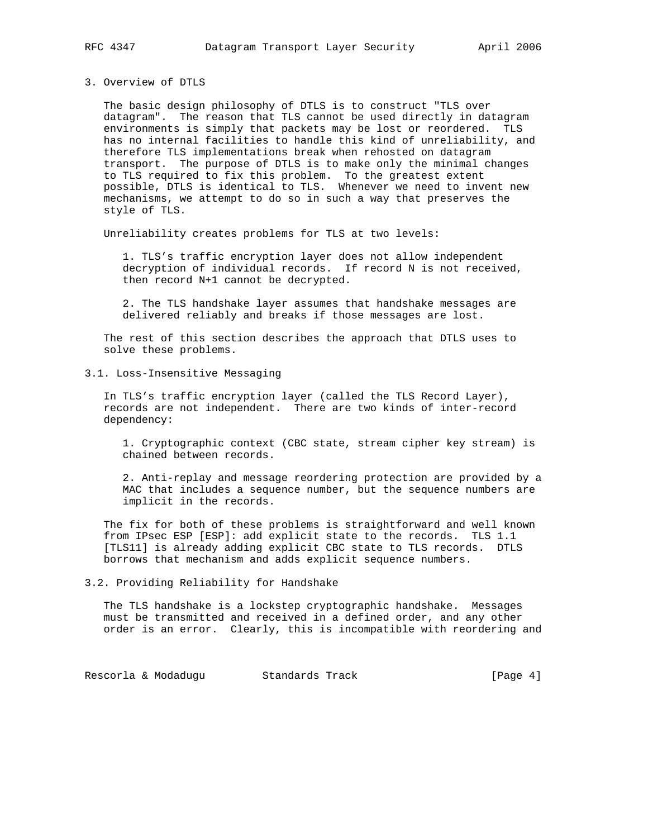# 3. Overview of DTLS

 The basic design philosophy of DTLS is to construct "TLS over datagram". The reason that TLS cannot be used directly in datagram environments is simply that packets may be lost or reordered. TLS has no internal facilities to handle this kind of unreliability, and therefore TLS implementations break when rehosted on datagram transport. The purpose of DTLS is to make only the minimal changes to TLS required to fix this problem. To the greatest extent possible, DTLS is identical to TLS. Whenever we need to invent new mechanisms, we attempt to do so in such a way that preserves the style of TLS.

Unreliability creates problems for TLS at two levels:

 1. TLS's traffic encryption layer does not allow independent decryption of individual records. If record N is not received, then record N+1 cannot be decrypted.

 2. The TLS handshake layer assumes that handshake messages are delivered reliably and breaks if those messages are lost.

 The rest of this section describes the approach that DTLS uses to solve these problems.

3.1. Loss-Insensitive Messaging

 In TLS's traffic encryption layer (called the TLS Record Layer), records are not independent. There are two kinds of inter-record dependency:

 1. Cryptographic context (CBC state, stream cipher key stream) is chained between records.

 2. Anti-replay and message reordering protection are provided by a MAC that includes a sequence number, but the sequence numbers are implicit in the records.

 The fix for both of these problems is straightforward and well known from IPsec ESP [ESP]: add explicit state to the records. TLS 1.1 [TLS11] is already adding explicit CBC state to TLS records. DTLS borrows that mechanism and adds explicit sequence numbers.

3.2. Providing Reliability for Handshake

 The TLS handshake is a lockstep cryptographic handshake. Messages must be transmitted and received in a defined order, and any other order is an error. Clearly, this is incompatible with reordering and

Rescorla & Modadugu Standards Track (Page 4)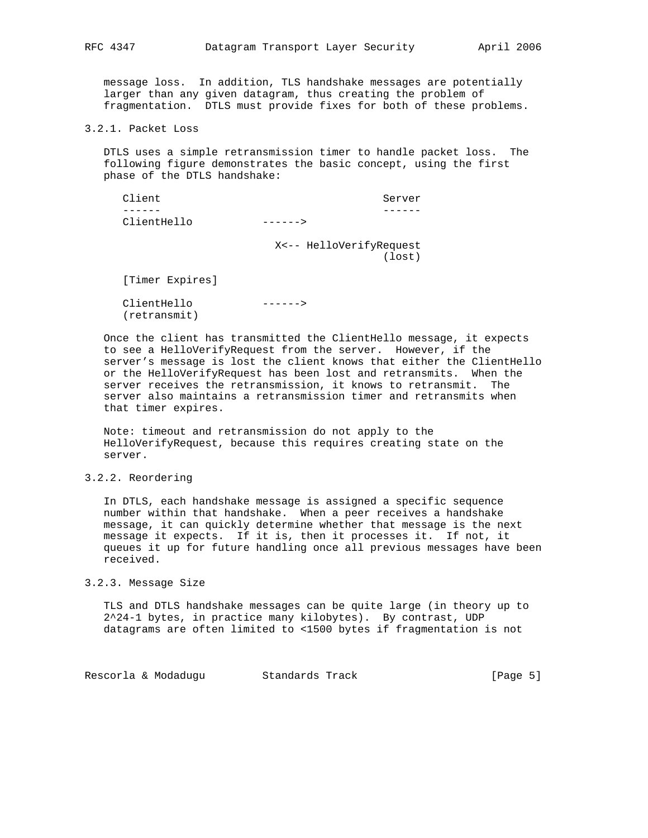message loss. In addition, TLS handshake messages are potentially larger than any given datagram, thus creating the problem of fragmentation. DTLS must provide fixes for both of these problems.

3.2.1. Packet Loss

 DTLS uses a simple retransmission timer to handle packet loss. The following figure demonstrates the basic concept, using the first phase of the DTLS handshake:

Client Server ------ ------ ClientHello ------>

X<-- HelloVerifyRequest

(lost)

[Timer Expires]

 ClientHello ------> (retransmit)

 Once the client has transmitted the ClientHello message, it expects to see a HelloVerifyRequest from the server. However, if the server's message is lost the client knows that either the ClientHello or the HelloVerifyRequest has been lost and retransmits. When the server receives the retransmission, it knows to retransmit. The server also maintains a retransmission timer and retransmits when that timer expires.

 Note: timeout and retransmission do not apply to the HelloVerifyRequest, because this requires creating state on the server.

# 3.2.2. Reordering

 In DTLS, each handshake message is assigned a specific sequence number within that handshake. When a peer receives a handshake message, it can quickly determine whether that message is the next message it expects. If it is, then it processes it. If not, it queues it up for future handling once all previous messages have been received.

#### 3.2.3. Message Size

 TLS and DTLS handshake messages can be quite large (in theory up to 2^24-1 bytes, in practice many kilobytes). By contrast, UDP datagrams are often limited to <1500 bytes if fragmentation is not

Rescorla & Modadugu Standards Track (Page 5)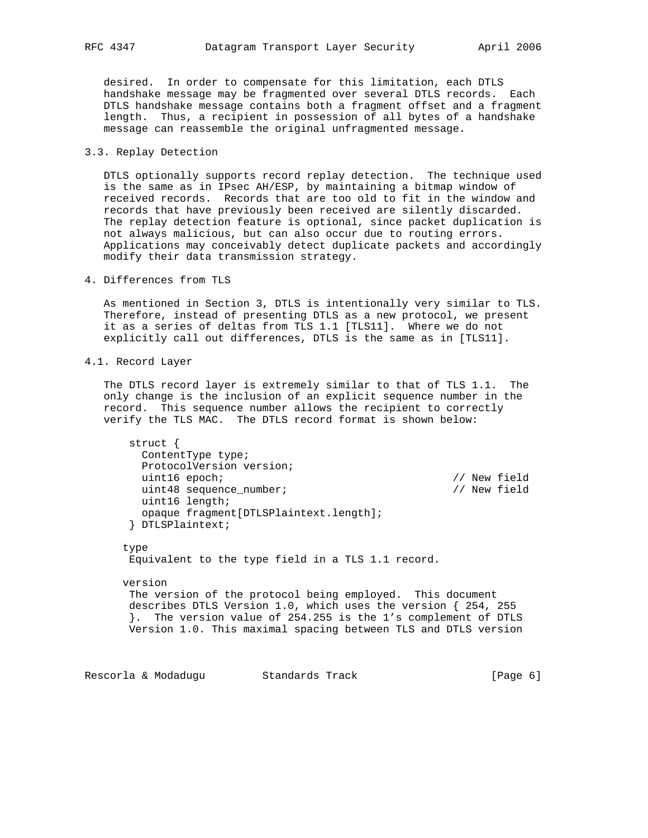desired. In order to compensate for this limitation, each DTLS handshake message may be fragmented over several DTLS records. Each DTLS handshake message contains both a fragment offset and a fragment length. Thus, a recipient in possession of all bytes of a handshake message can reassemble the original unfragmented message.

## 3.3. Replay Detection

 DTLS optionally supports record replay detection. The technique used is the same as in IPsec AH/ESP, by maintaining a bitmap window of received records. Records that are too old to fit in the window and records that have previously been received are silently discarded. The replay detection feature is optional, since packet duplication is not always malicious, but can also occur due to routing errors. Applications may conceivably detect duplicate packets and accordingly modify their data transmission strategy.

4. Differences from TLS

 As mentioned in Section 3, DTLS is intentionally very similar to TLS. Therefore, instead of presenting DTLS as a new protocol, we present it as a series of deltas from TLS 1.1 [TLS11]. Where we do not explicitly call out differences, DTLS is the same as in [TLS11].

4.1. Record Layer

 The DTLS record layer is extremely similar to that of TLS 1.1. The only change is the inclusion of an explicit sequence number in the record. This sequence number allows the recipient to correctly verify the TLS MAC. The DTLS record format is shown below:

 struct { ContentType type; ProtocolVersion version; uint16 epoch; // New field uint48 sequence\_number; // New field uint16 length; opaque fragment[DTLSPlaintext.length]; } DTLSPlaintext;

 type Equivalent to the type field in a TLS 1.1 record.

 version The version of the protocol being employed. This document describes DTLS Version 1.0, which uses the version { 254, 255 }. The version value of 254.255 is the 1's complement of DTLS Version 1.0. This maximal spacing between TLS and DTLS version

Rescorla & Modadugu Standards Track (Page 6)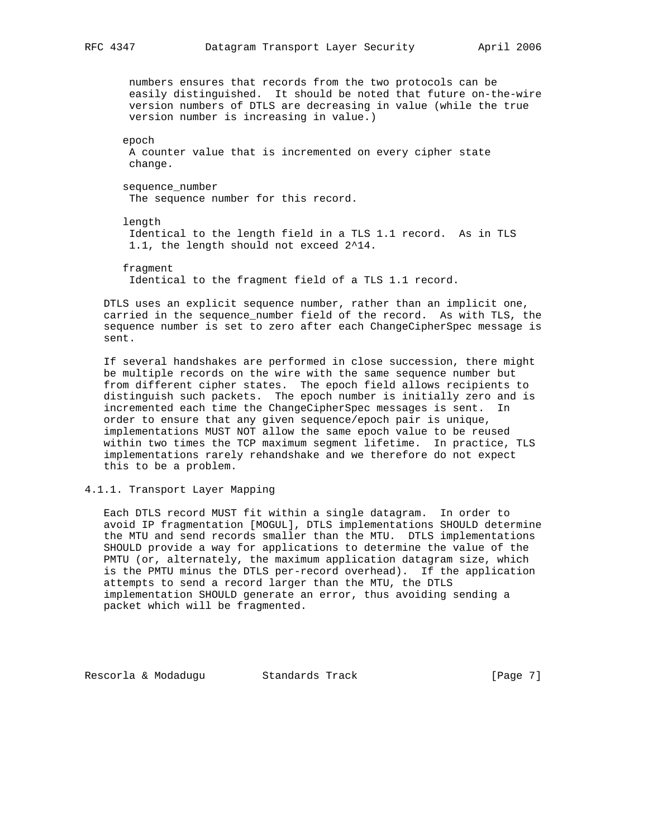numbers ensures that records from the two protocols can be easily distinguished. It should be noted that future on-the-wire version numbers of DTLS are decreasing in value (while the true version number is increasing in value.)

 epoch A counter value that is incremented on every cipher state change.

 sequence\_number The sequence number for this record.

 length Identical to the length field in a TLS 1.1 record. As in TLS 1.1, the length should not exceed 2^14.

 fragment Identical to the fragment field of a TLS 1.1 record.

 DTLS uses an explicit sequence number, rather than an implicit one, carried in the sequence\_number field of the record. As with TLS, the sequence number is set to zero after each ChangeCipherSpec message is sent.

 If several handshakes are performed in close succession, there might be multiple records on the wire with the same sequence number but from different cipher states. The epoch field allows recipients to distinguish such packets. The epoch number is initially zero and is incremented each time the ChangeCipherSpec messages is sent. In order to ensure that any given sequence/epoch pair is unique, implementations MUST NOT allow the same epoch value to be reused within two times the TCP maximum segment lifetime. In practice, TLS implementations rarely rehandshake and we therefore do not expect this to be a problem.

4.1.1. Transport Layer Mapping

 Each DTLS record MUST fit within a single datagram. In order to avoid IP fragmentation [MOGUL], DTLS implementations SHOULD determine the MTU and send records smaller than the MTU. DTLS implementations SHOULD provide a way for applications to determine the value of the PMTU (or, alternately, the maximum application datagram size, which is the PMTU minus the DTLS per-record overhead). If the application attempts to send a record larger than the MTU, the DTLS implementation SHOULD generate an error, thus avoiding sending a packet which will be fragmented.

Rescorla & Modadugu Standards Track [Page 7]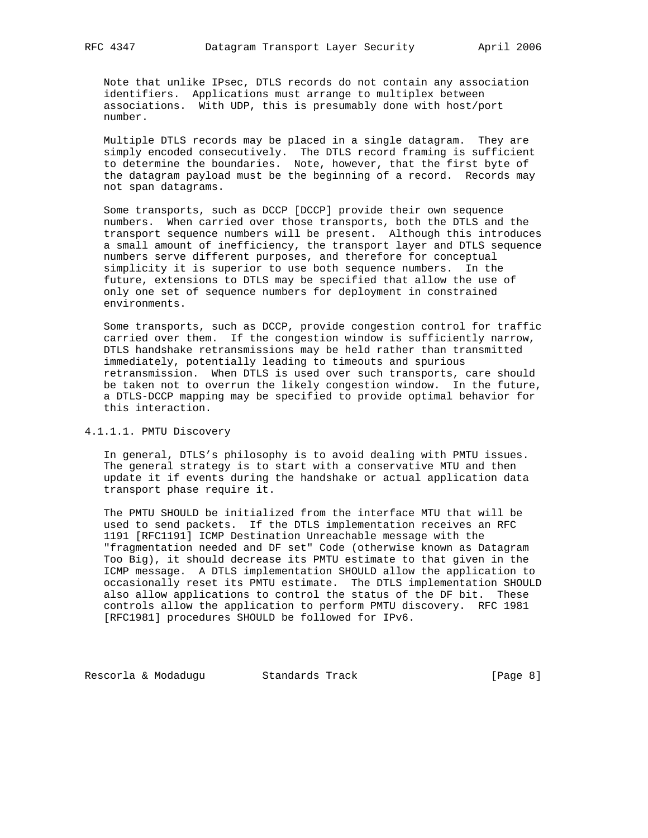Note that unlike IPsec, DTLS records do not contain any association identifiers. Applications must arrange to multiplex between associations. With UDP, this is presumably done with host/port number.

 Multiple DTLS records may be placed in a single datagram. They are simply encoded consecutively. The DTLS record framing is sufficient to determine the boundaries. Note, however, that the first byte of the datagram payload must be the beginning of a record. Records may not span datagrams.

 Some transports, such as DCCP [DCCP] provide their own sequence numbers. When carried over those transports, both the DTLS and the transport sequence numbers will be present. Although this introduces a small amount of inefficiency, the transport layer and DTLS sequence numbers serve different purposes, and therefore for conceptual simplicity it is superior to use both sequence numbers. In the future, extensions to DTLS may be specified that allow the use of only one set of sequence numbers for deployment in constrained environments.

 Some transports, such as DCCP, provide congestion control for traffic carried over them. If the congestion window is sufficiently narrow, DTLS handshake retransmissions may be held rather than transmitted immediately, potentially leading to timeouts and spurious retransmission. When DTLS is used over such transports, care should be taken not to overrun the likely congestion window. In the future, a DTLS-DCCP mapping may be specified to provide optimal behavior for this interaction.

## 4.1.1.1. PMTU Discovery

 In general, DTLS's philosophy is to avoid dealing with PMTU issues. The general strategy is to start with a conservative MTU and then update it if events during the handshake or actual application data transport phase require it.

 The PMTU SHOULD be initialized from the interface MTU that will be used to send packets. If the DTLS implementation receives an RFC 1191 [RFC1191] ICMP Destination Unreachable message with the "fragmentation needed and DF set" Code (otherwise known as Datagram Too Big), it should decrease its PMTU estimate to that given in the ICMP message. A DTLS implementation SHOULD allow the application to occasionally reset its PMTU estimate. The DTLS implementation SHOULD also allow applications to control the status of the DF bit. These controls allow the application to perform PMTU discovery. RFC 1981 [RFC1981] procedures SHOULD be followed for IPv6.

Rescorla & Modadugu Standards Track (Page 8)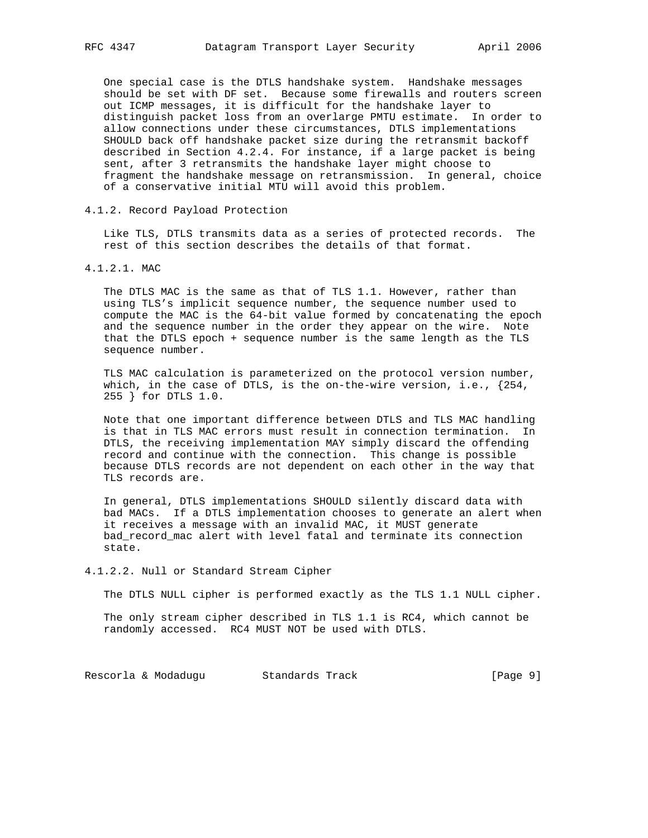One special case is the DTLS handshake system. Handshake messages should be set with DF set. Because some firewalls and routers screen out ICMP messages, it is difficult for the handshake layer to distinguish packet loss from an overlarge PMTU estimate. In order to allow connections under these circumstances, DTLS implementations SHOULD back off handshake packet size during the retransmit backoff described in Section 4.2.4. For instance, if a large packet is being sent, after 3 retransmits the handshake layer might choose to fragment the handshake message on retransmission. In general, choice of a conservative initial MTU will avoid this problem.

### 4.1.2. Record Payload Protection

 Like TLS, DTLS transmits data as a series of protected records. The rest of this section describes the details of that format.

## 4.1.2.1. MAC

 The DTLS MAC is the same as that of TLS 1.1. However, rather than using TLS's implicit sequence number, the sequence number used to compute the MAC is the 64-bit value formed by concatenating the epoch and the sequence number in the order they appear on the wire. Note that the DTLS epoch + sequence number is the same length as the TLS sequence number.

 TLS MAC calculation is parameterized on the protocol version number, which, in the case of DTLS, is the on-the-wire version, i.e.,  $\{254,$ 255 } for DTLS 1.0.

 Note that one important difference between DTLS and TLS MAC handling is that in TLS MAC errors must result in connection termination. In DTLS, the receiving implementation MAY simply discard the offending record and continue with the connection. This change is possible because DTLS records are not dependent on each other in the way that TLS records are.

 In general, DTLS implementations SHOULD silently discard data with bad MACs. If a DTLS implementation chooses to generate an alert when it receives a message with an invalid MAC, it MUST generate bad\_record\_mac alert with level fatal and terminate its connection state.

#### 4.1.2.2. Null or Standard Stream Cipher

The DTLS NULL cipher is performed exactly as the TLS 1.1 NULL cipher.

 The only stream cipher described in TLS 1.1 is RC4, which cannot be randomly accessed. RC4 MUST NOT be used with DTLS.

Rescorla & Modadugu Standards Track (Page 9)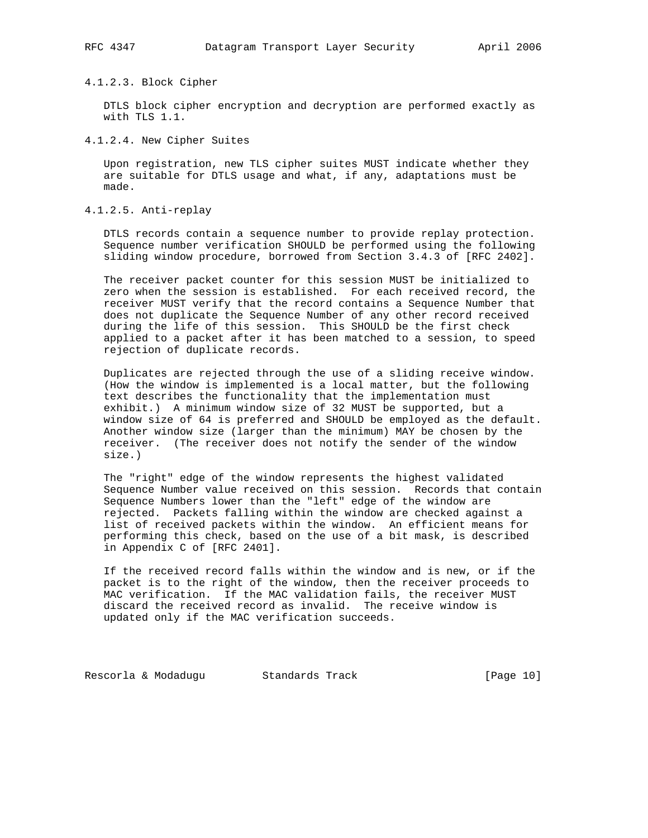#### 4.1.2.3. Block Cipher

 DTLS block cipher encryption and decryption are performed exactly as with TLS 1.1.

4.1.2.4. New Cipher Suites

 Upon registration, new TLS cipher suites MUST indicate whether they are suitable for DTLS usage and what, if any, adaptations must be made.

4.1.2.5. Anti-replay

 DTLS records contain a sequence number to provide replay protection. Sequence number verification SHOULD be performed using the following sliding window procedure, borrowed from Section 3.4.3 of [RFC 2402].

 The receiver packet counter for this session MUST be initialized to zero when the session is established. For each received record, the receiver MUST verify that the record contains a Sequence Number that does not duplicate the Sequence Number of any other record received during the life of this session. This SHOULD be the first check applied to a packet after it has been matched to a session, to speed rejection of duplicate records.

 Duplicates are rejected through the use of a sliding receive window. (How the window is implemented is a local matter, but the following text describes the functionality that the implementation must exhibit.) A minimum window size of 32 MUST be supported, but a window size of 64 is preferred and SHOULD be employed as the default. Another window size (larger than the minimum) MAY be chosen by the receiver. (The receiver does not notify the sender of the window size.)

 The "right" edge of the window represents the highest validated Sequence Number value received on this session. Records that contain Sequence Numbers lower than the "left" edge of the window are rejected. Packets falling within the window are checked against a list of received packets within the window. An efficient means for performing this check, based on the use of a bit mask, is described in Appendix C of [RFC 2401].

 If the received record falls within the window and is new, or if the packet is to the right of the window, then the receiver proceeds to MAC verification. If the MAC validation fails, the receiver MUST discard the received record as invalid. The receive window is updated only if the MAC verification succeeds.

Rescorla & Modadugu Standards Track [Page 10]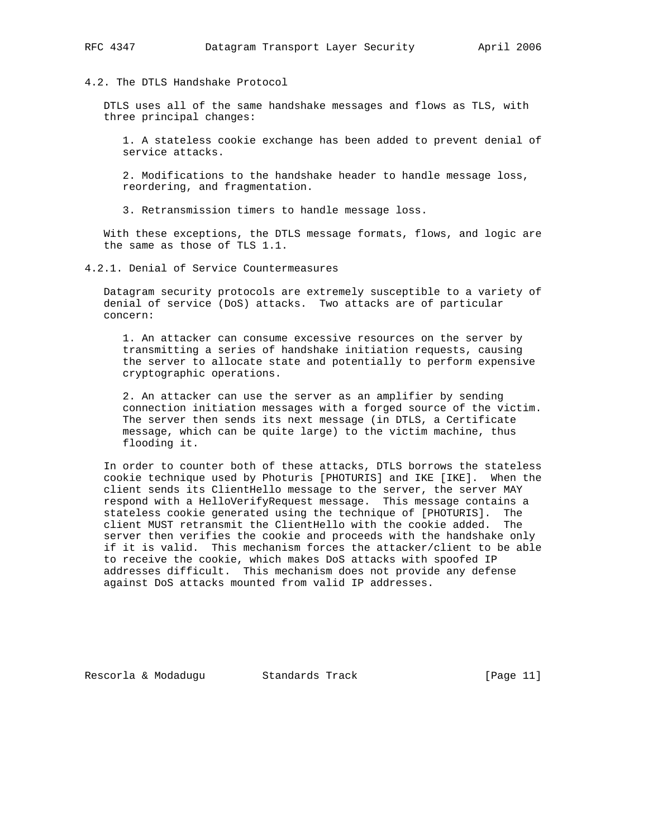# 4.2. The DTLS Handshake Protocol

 DTLS uses all of the same handshake messages and flows as TLS, with three principal changes:

 1. A stateless cookie exchange has been added to prevent denial of service attacks.

 2. Modifications to the handshake header to handle message loss, reordering, and fragmentation.

3. Retransmission timers to handle message loss.

 With these exceptions, the DTLS message formats, flows, and logic are the same as those of TLS 1.1.

4.2.1. Denial of Service Countermeasures

 Datagram security protocols are extremely susceptible to a variety of denial of service (DoS) attacks. Two attacks are of particular concern:

 1. An attacker can consume excessive resources on the server by transmitting a series of handshake initiation requests, causing the server to allocate state and potentially to perform expensive cryptographic operations.

 2. An attacker can use the server as an amplifier by sending connection initiation messages with a forged source of the victim. The server then sends its next message (in DTLS, a Certificate message, which can be quite large) to the victim machine, thus flooding it.

 In order to counter both of these attacks, DTLS borrows the stateless cookie technique used by Photuris [PHOTURIS] and IKE [IKE]. When the client sends its ClientHello message to the server, the server MAY respond with a HelloVerifyRequest message. This message contains a stateless cookie generated using the technique of [PHOTURIS]. The client MUST retransmit the ClientHello with the cookie added. The server then verifies the cookie and proceeds with the handshake only if it is valid. This mechanism forces the attacker/client to be able to receive the cookie, which makes DoS attacks with spoofed IP addresses difficult. This mechanism does not provide any defense against DoS attacks mounted from valid IP addresses.

Rescorla & Modadugu Standards Track [Page 11]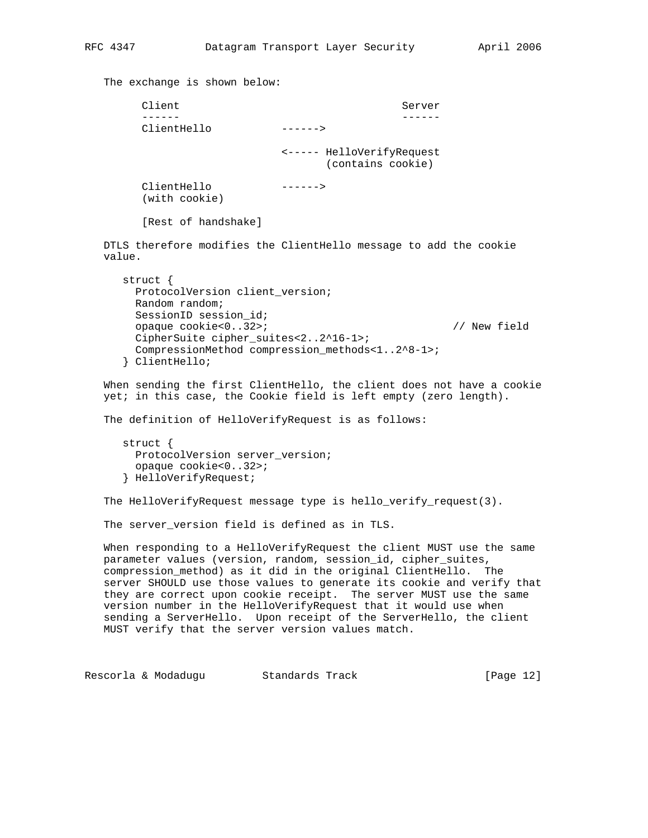The exchange is shown below: Client Server ------ ------ ClientHello ------> <----- HelloVerifyRequest (contains cookie) ClientHello ------> (with cookie) [Rest of handshake] DTLS therefore modifies the ClientHello message to add the cookie value. struct { ProtocolVersion client\_version; Random random; SessionID session\_id; opaque cookie<0..32>; // New field CipherSuite cipher\_suites<2..2^16-1>; CompressionMethod compression\_methods<1..2^8-1>; } ClientHello; When sending the first ClientHello, the client does not have a cookie yet; in this case, the Cookie field is left empty (zero length). The definition of HelloVerifyRequest is as follows: struct { ProtocolVersion server\_version; opaque cookie<0..32>; } HelloVerifyRequest; The HelloVerifyRequest message type is hello\_verify\_request(3). The server\_version field is defined as in TLS. When responding to a HelloVerifyRequest the client MUST use the same parameter values (version, random, session\_id, cipher\_suites, compression\_method) as it did in the original ClientHello. The server SHOULD use those values to generate its cookie and verify that they are correct upon cookie receipt. The server MUST use the same version number in the HelloVerifyRequest that it would use when sending a ServerHello. Upon receipt of the ServerHello, the client MUST verify that the server version values match.

Rescorla & Modadugu Standards Track [Page 12]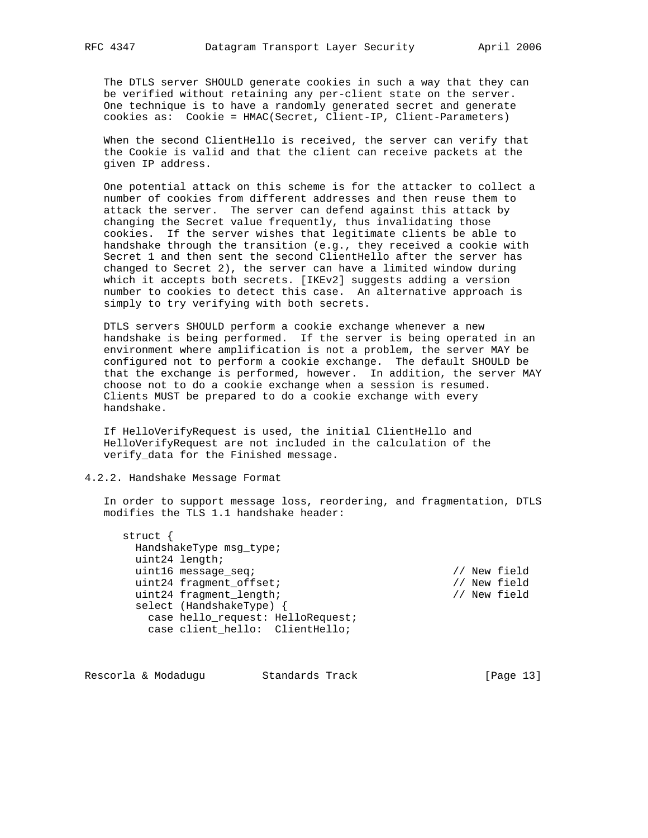The DTLS server SHOULD generate cookies in such a way that they can be verified without retaining any per-client state on the server. One technique is to have a randomly generated secret and generate cookies as: Cookie = HMAC(Secret, Client-IP, Client-Parameters)

 When the second ClientHello is received, the server can verify that the Cookie is valid and that the client can receive packets at the given IP address.

 One potential attack on this scheme is for the attacker to collect a number of cookies from different addresses and then reuse them to attack the server. The server can defend against this attack by changing the Secret value frequently, thus invalidating those cookies. If the server wishes that legitimate clients be able to handshake through the transition (e.g., they received a cookie with Secret 1 and then sent the second ClientHello after the server has changed to Secret 2), the server can have a limited window during which it accepts both secrets. [IKEv2] suggests adding a version number to cookies to detect this case. An alternative approach is simply to try verifying with both secrets.

 DTLS servers SHOULD perform a cookie exchange whenever a new handshake is being performed. If the server is being operated in an environment where amplification is not a problem, the server MAY be configured not to perform a cookie exchange. The default SHOULD be that the exchange is performed, however. In addition, the server MAY choose not to do a cookie exchange when a session is resumed. Clients MUST be prepared to do a cookie exchange with every handshake.

 If HelloVerifyRequest is used, the initial ClientHello and HelloVerifyRequest are not included in the calculation of the verify\_data for the Finished message.

# 4.2.2. Handshake Message Format

 In order to support message loss, reordering, and fragmentation, DTLS modifies the TLS 1.1 handshake header:

 struct { HandshakeType msg\_type; uint24 length; uint16 message\_seq; // New field uint24 fragment\_offset; // New field uint24 fragment\_length; // New field select (HandshakeType) { case hello\_request: HelloRequest; case client\_hello: ClientHello;

Rescorla & Modadugu Standards Track [Page 13]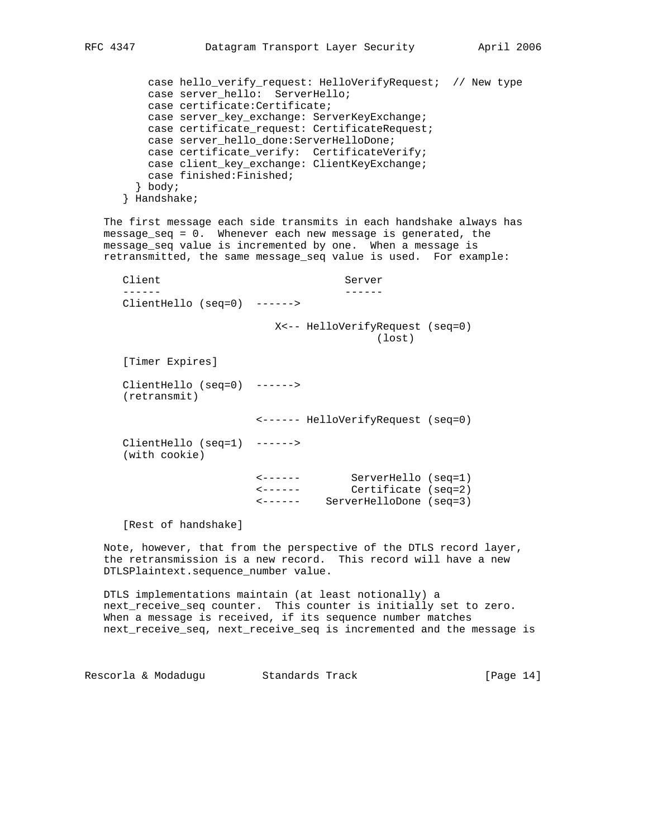```
 case hello_verify_request: HelloVerifyRequest; // New type
    case server_hello: ServerHello;
    case certificate:Certificate;
    case server_key_exchange: ServerKeyExchange;
    case certificate_request: CertificateRequest;
    case server_hello_done:ServerHelloDone;
    case certificate_verify: CertificateVerify;
    case client_key_exchange: ClientKeyExchange;
    case finished:Finished;
   } body;
 } Handshake;
```
 The first message each side transmits in each handshake always has message\_seq = 0. Whenever each new message is generated, the message\_seq value is incremented by one. When a message is retransmitted, the same message\_seq value is used. For example:

Client Server ------ ------ ClientHello (seq=0) ------> X<-- HelloVerifyRequest (seq=0) (lost) [Timer Expires] ClientHello (seq=0) ------> (retransmit) <------ HelloVerifyRequest (seq=0) ClientHello (seq=1) ------> (with cookie) <------ ServerHello (seq=1) <------ Certificate (seq=2) <------ ServerHelloDone (seq=3) [Rest of handshake] Note, however, that from the perspective of the DTLS record layer, the retransmission is a new record. This record will have a new DTLSPlaintext.sequence\_number value.

 DTLS implementations maintain (at least notionally) a next\_receive\_seq counter. This counter is initially set to zero. When a message is received, if its sequence number matches next\_receive\_seq, next\_receive\_seq is incremented and the message is

Rescorla & Modadugu Standards Track [Page 14]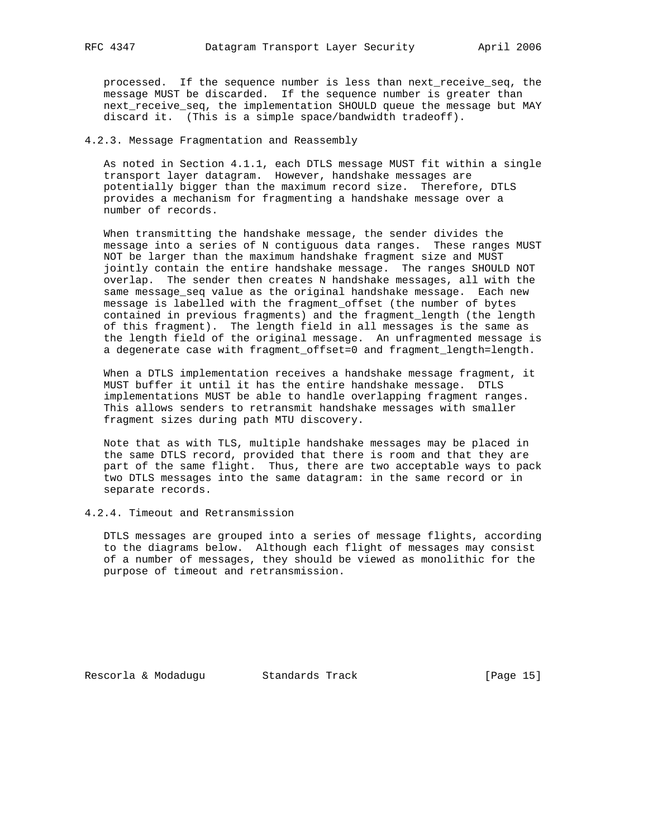processed. If the sequence number is less than next\_receive\_seq, the message MUST be discarded. If the sequence number is greater than next\_receive\_seq, the implementation SHOULD queue the message but MAY discard it. (This is a simple space/bandwidth tradeoff).

## 4.2.3. Message Fragmentation and Reassembly

 As noted in Section 4.1.1, each DTLS message MUST fit within a single transport layer datagram. However, handshake messages are potentially bigger than the maximum record size. Therefore, DTLS provides a mechanism for fragmenting a handshake message over a number of records.

 When transmitting the handshake message, the sender divides the message into a series of N contiguous data ranges. These ranges MUST NOT be larger than the maximum handshake fragment size and MUST jointly contain the entire handshake message. The ranges SHOULD NOT overlap. The sender then creates N handshake messages, all with the same message\_seq value as the original handshake message. Each new message is labelled with the fragment\_offset (the number of bytes contained in previous fragments) and the fragment\_length (the length of this fragment). The length field in all messages is the same as the length field of the original message. An unfragmented message is a degenerate case with fragment\_offset=0 and fragment\_length=length.

 When a DTLS implementation receives a handshake message fragment, it MUST buffer it until it has the entire handshake message. DTLS implementations MUST be able to handle overlapping fragment ranges. This allows senders to retransmit handshake messages with smaller fragment sizes during path MTU discovery.

 Note that as with TLS, multiple handshake messages may be placed in the same DTLS record, provided that there is room and that they are part of the same flight. Thus, there are two acceptable ways to pack two DTLS messages into the same datagram: in the same record or in separate records.

### 4.2.4. Timeout and Retransmission

 DTLS messages are grouped into a series of message flights, according to the diagrams below. Although each flight of messages may consist of a number of messages, they should be viewed as monolithic for the purpose of timeout and retransmission.

Rescorla & Modadugu Standards Track [Page 15]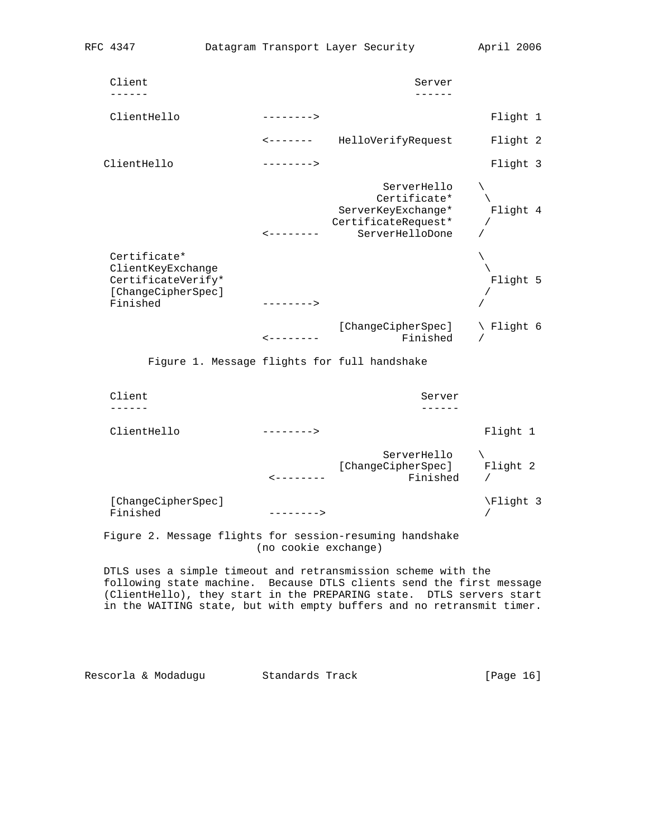| Client                                                                                    |                    | Server                                                                                      |            |
|-------------------------------------------------------------------------------------------|--------------------|---------------------------------------------------------------------------------------------|------------|
| ClientHello                                                                               | $--------$         |                                                                                             | Flight 1   |
|                                                                                           |                    | <-------    HelloVerifyRequest                                                              | Flight 2   |
| ClientHello                                                                               | $--------$         |                                                                                             | Flight 3   |
|                                                                                           | ----------         | ServerHello<br>Certificate*<br>ServerKeyExchange*<br>CertificateRequest*<br>ServerHelloDone | Flight 4   |
| Certificate*<br>ClientKeyExchange<br>CertificateVerify*<br>[ChangeCipherSpec]<br>Finished | $------>$          |                                                                                             | Flight 5   |
|                                                                                           | ---------          | [ChangeCipherSpec]<br>Finished                                                              | \ Flight 6 |
|                                                                                           |                    | Figure 1. Message flights for full handshake                                                |            |
| Client                                                                                    |                    | Server                                                                                      |            |
| ClientHello                                                                               | $------$           |                                                                                             | Flight 1   |
|                                                                                           | $\, - - - - - - -$ | ServerHello<br>[ChangeCipherSpec] Flight 2<br>Finished                                      | $\sqrt{2}$ |

| [ChangeCipherSpec] |             | \Flight 3 |
|--------------------|-------------|-----------|
| Finished           | $-------->$ |           |

 Figure 2. Message flights for session-resuming handshake (no cookie exchange)

 DTLS uses a simple timeout and retransmission scheme with the following state machine. Because DTLS clients send the first message (ClientHello), they start in the PREPARING state. DTLS servers start in the WAITING state, but with empty buffers and no retransmit timer.

Rescorla & Modadugu (Standards Track Track [Page 16]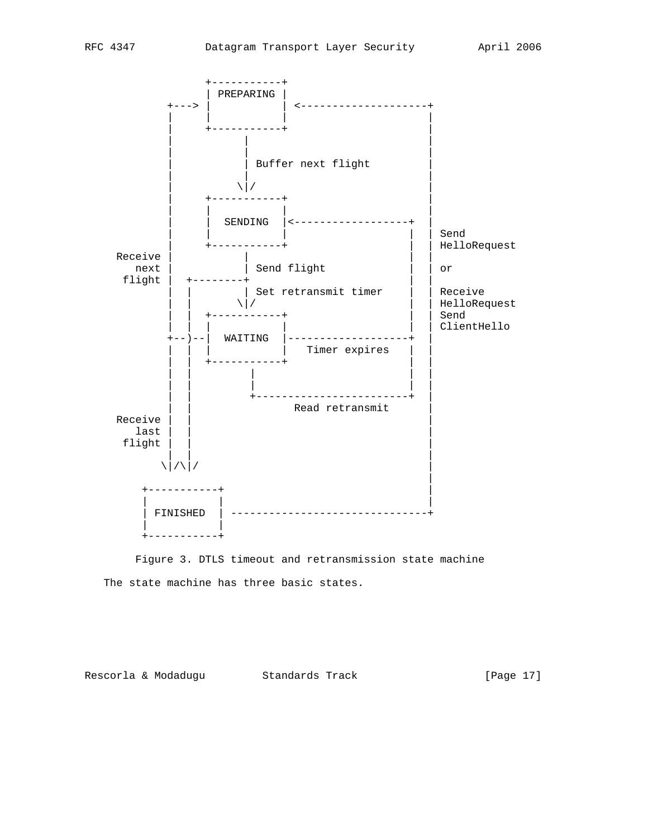

 Figure 3. DTLS timeout and retransmission state machine The state machine has three basic states.

Rescorla & Modadugu (Standards Track Track [Page 17]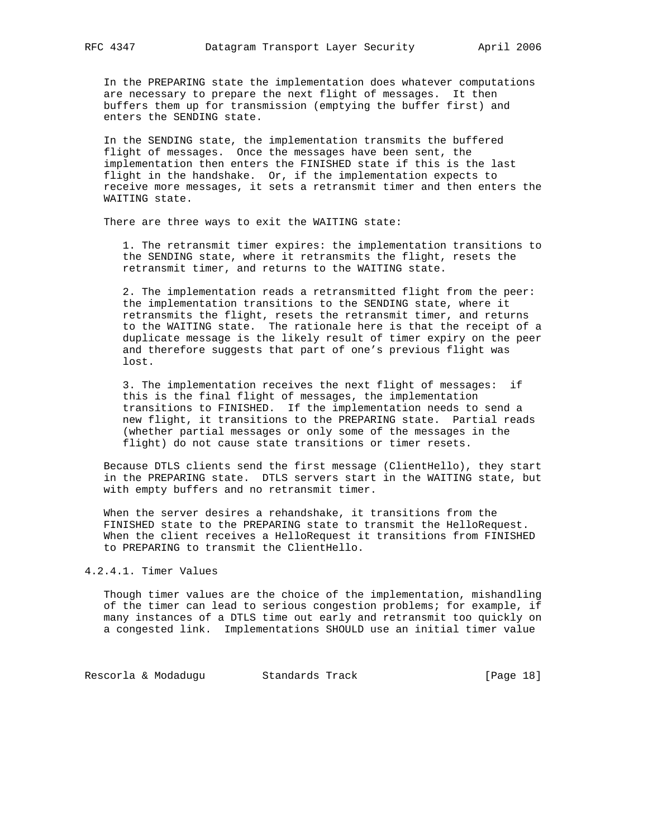In the PREPARING state the implementation does whatever computations are necessary to prepare the next flight of messages. It then buffers them up for transmission (emptying the buffer first) and enters the SENDING state.

 In the SENDING state, the implementation transmits the buffered flight of messages. Once the messages have been sent, the implementation then enters the FINISHED state if this is the last flight in the handshake. Or, if the implementation expects to receive more messages, it sets a retransmit timer and then enters the WAITING state.

There are three ways to exit the WAITING state:

 1. The retransmit timer expires: the implementation transitions to the SENDING state, where it retransmits the flight, resets the retransmit timer, and returns to the WAITING state.

 2. The implementation reads a retransmitted flight from the peer: the implementation transitions to the SENDING state, where it retransmits the flight, resets the retransmit timer, and returns to the WAITING state. The rationale here is that the receipt of a duplicate message is the likely result of timer expiry on the peer and therefore suggests that part of one's previous flight was lost.

 3. The implementation receives the next flight of messages: if this is the final flight of messages, the implementation transitions to FINISHED. If the implementation needs to send a new flight, it transitions to the PREPARING state. Partial reads (whether partial messages or only some of the messages in the flight) do not cause state transitions or timer resets.

 Because DTLS clients send the first message (ClientHello), they start in the PREPARING state. DTLS servers start in the WAITING state, but with empty buffers and no retransmit timer.

 When the server desires a rehandshake, it transitions from the FINISHED state to the PREPARING state to transmit the HelloRequest. When the client receives a HelloRequest it transitions from FINISHED to PREPARING to transmit the ClientHello.

4.2.4.1. Timer Values

 Though timer values are the choice of the implementation, mishandling of the timer can lead to serious congestion problems; for example, if many instances of a DTLS time out early and retransmit too quickly on a congested link. Implementations SHOULD use an initial timer value

Rescorla & Modadugu Standards Track [Page 18]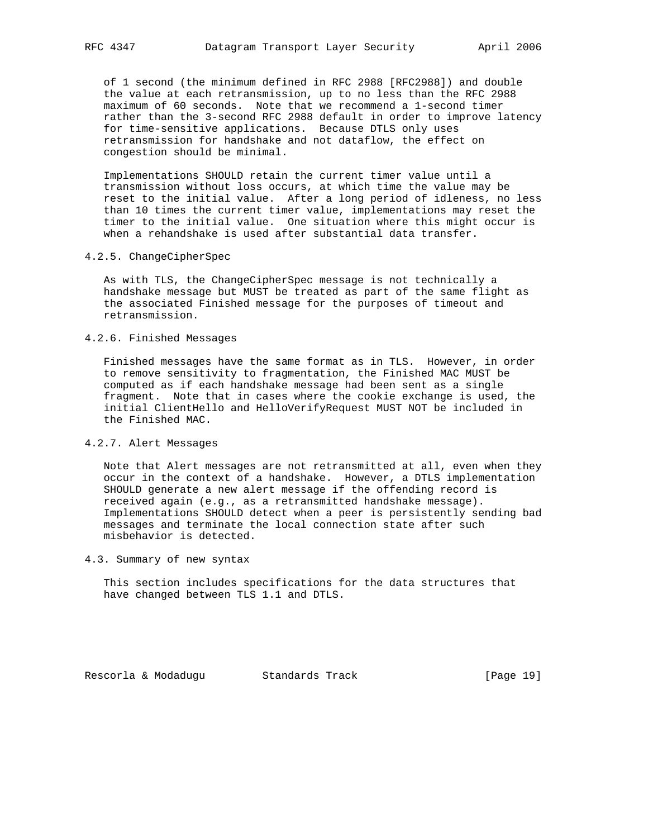of 1 second (the minimum defined in RFC 2988 [RFC2988]) and double the value at each retransmission, up to no less than the RFC 2988 maximum of 60 seconds. Note that we recommend a 1-second timer rather than the 3-second RFC 2988 default in order to improve latency for time-sensitive applications. Because DTLS only uses retransmission for handshake and not dataflow, the effect on congestion should be minimal.

 Implementations SHOULD retain the current timer value until a transmission without loss occurs, at which time the value may be reset to the initial value. After a long period of idleness, no less than 10 times the current timer value, implementations may reset the timer to the initial value. One situation where this might occur is when a rehandshake is used after substantial data transfer.

## 4.2.5. ChangeCipherSpec

 As with TLS, the ChangeCipherSpec message is not technically a handshake message but MUST be treated as part of the same flight as the associated Finished message for the purposes of timeout and retransmission.

# 4.2.6. Finished Messages

 Finished messages have the same format as in TLS. However, in order to remove sensitivity to fragmentation, the Finished MAC MUST be computed as if each handshake message had been sent as a single fragment. Note that in cases where the cookie exchange is used, the initial ClientHello and HelloVerifyRequest MUST NOT be included in the Finished MAC.

# 4.2.7. Alert Messages

 Note that Alert messages are not retransmitted at all, even when they occur in the context of a handshake. However, a DTLS implementation SHOULD generate a new alert message if the offending record is received again (e.g., as a retransmitted handshake message). Implementations SHOULD detect when a peer is persistently sending bad messages and terminate the local connection state after such misbehavior is detected.

## 4.3. Summary of new syntax

 This section includes specifications for the data structures that have changed between TLS 1.1 and DTLS.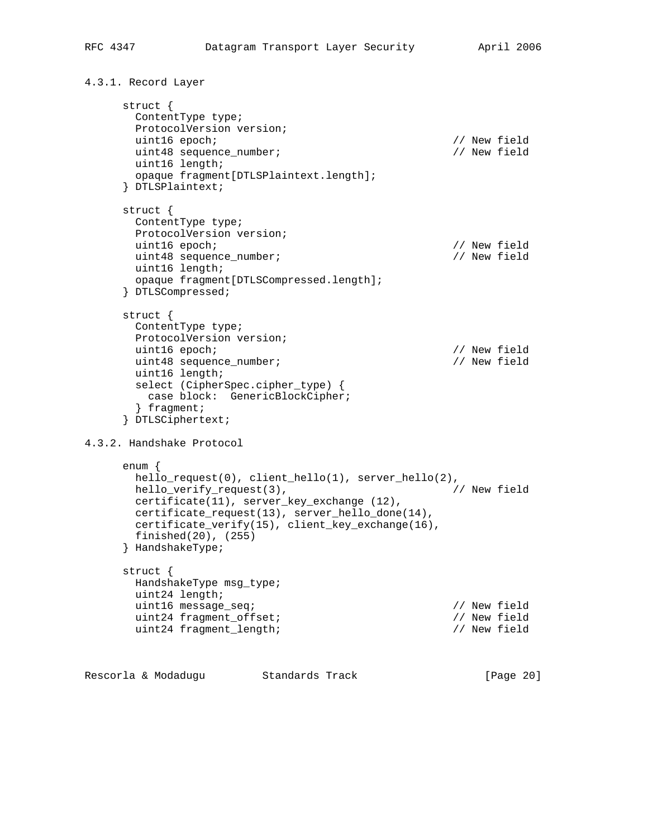```
4.3.1. Record Layer
      struct {
        ContentType type;
        ProtocolVersion version;
        uint16 epoch; // New field
        uint48 sequence_number; // New field
        uint16 length;
        opaque fragment[DTLSPlaintext.length];
      } DTLSPlaintext;
      struct {
        ContentType type;
        ProtocolVersion version;
       uint16 epoch; \sqrt{2} // New field
        uint48 sequence_number; // New field
        uint16 length;
        opaque fragment[DTLSCompressed.length];
      } DTLSCompressed;
      struct {
        ContentType type;
        ProtocolVersion version;
       uint16 epoch;<br>uint48 sequence number;<br>// New field
       uint48 sequence_number;
        uint16 length;
        select (CipherSpec.cipher_type) {
         case block: GenericBlockCipher;
        } fragment;
      } DTLSCiphertext;
4.3.2. Handshake Protocol
      enum {
       hello_request(0), client_hello(1), server_hello(2),<br>hello verify request(3), \sqrt{2}hello_verify_request(3),
        certificate(11), server_key_exchange (12),
        certificate_request(13), server_hello_done(14),
        certificate_verify(15), client_key_exchange(16),
        finished(20), (255)
      } HandshakeType;
      struct {
        HandshakeType msg_type;
        uint24 length;
        uint16 message_seq; // New field
       uint24 fragment_offset;<br>uint24 fragment length;<br>// New field
       uint24 fragment_length;
Rescorla & Modadugu Standards Track [Page 20]
```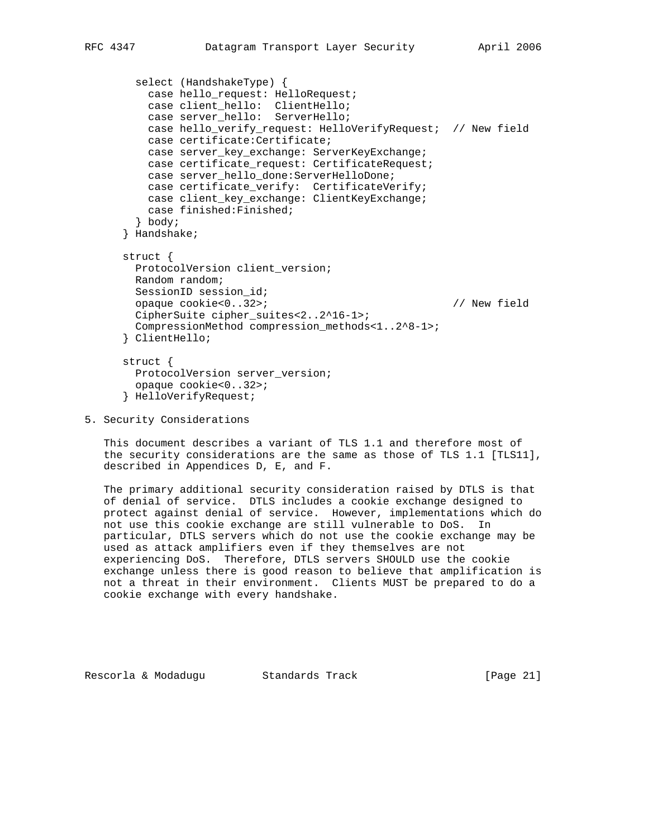```
 select (HandshakeType) {
          case hello_request: HelloRequest;
 case client_hello: ClientHello;
 case server_hello: ServerHello;
          case hello_verify_request: HelloVerifyRequest; // New field
          case certificate:Certificate;
          case server_key_exchange: ServerKeyExchange;
          case certificate_request: CertificateRequest;
          case server_hello_done:ServerHelloDone;
          case certificate_verify: CertificateVerify;
          case client_key_exchange: ClientKeyExchange;
          case finished:Finished;
        } body;
      } Handshake;
      struct {
        ProtocolVersion client_version;
        Random random;
        SessionID session_id;
        opaque cookie<0..32>; // New field
        CipherSuite cipher_suites<2..2^16-1>;
        CompressionMethod compression_methods<1..2^8-1>;
      } ClientHello;
      struct {
        ProtocolVersion server_version;
        opaque cookie<0..32>;
      } HelloVerifyRequest;
```
5. Security Considerations

 This document describes a variant of TLS 1.1 and therefore most of the security considerations are the same as those of TLS 1.1 [TLS11], described in Appendices D, E, and F.

 The primary additional security consideration raised by DTLS is that of denial of service. DTLS includes a cookie exchange designed to protect against denial of service. However, implementations which do not use this cookie exchange are still vulnerable to DoS. In particular, DTLS servers which do not use the cookie exchange may be used as attack amplifiers even if they themselves are not experiencing DoS. Therefore, DTLS servers SHOULD use the cookie exchange unless there is good reason to believe that amplification is not a threat in their environment. Clients MUST be prepared to do a cookie exchange with every handshake.

Rescorla & Modadugu Standards Track [Page 21]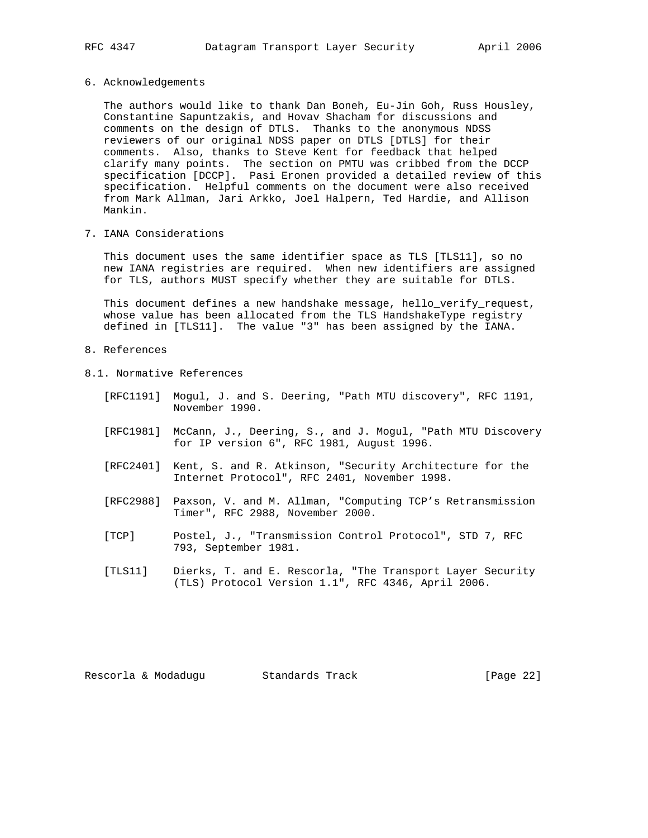6. Acknowledgements

 The authors would like to thank Dan Boneh, Eu-Jin Goh, Russ Housley, Constantine Sapuntzakis, and Hovav Shacham for discussions and comments on the design of DTLS. Thanks to the anonymous NDSS reviewers of our original NDSS paper on DTLS [DTLS] for their comments. Also, thanks to Steve Kent for feedback that helped clarify many points. The section on PMTU was cribbed from the DCCP specification [DCCP]. Pasi Eronen provided a detailed review of this specification. Helpful comments on the document were also received from Mark Allman, Jari Arkko, Joel Halpern, Ted Hardie, and Allison Mankin.

7. IANA Considerations

 This document uses the same identifier space as TLS [TLS11], so no new IANA registries are required. When new identifiers are assigned for TLS, authors MUST specify whether they are suitable for DTLS.

 This document defines a new handshake message, hello\_verify\_request, whose value has been allocated from the TLS HandshakeType registry defined in [TLS11]. The value "3" has been assigned by the IANA.

- 8. References
- 8.1. Normative References
	- [RFC1191] Mogul, J. and S. Deering, "Path MTU discovery", RFC 1191, November 1990.
	- [RFC1981] McCann, J., Deering, S., and J. Mogul, "Path MTU Discovery for IP version 6", RFC 1981, August 1996.
	- [RFC2401] Kent, S. and R. Atkinson, "Security Architecture for the Internet Protocol", RFC 2401, November 1998.
	- [RFC2988] Paxson, V. and M. Allman, "Computing TCP's Retransmission Timer", RFC 2988, November 2000.
	- [TCP] Postel, J., "Transmission Control Protocol", STD 7, RFC 793, September 1981.
	- [TLS11] Dierks, T. and E. Rescorla, "The Transport Layer Security (TLS) Protocol Version 1.1", RFC 4346, April 2006.

Rescorla & Modadugu Standards Track [Page 22]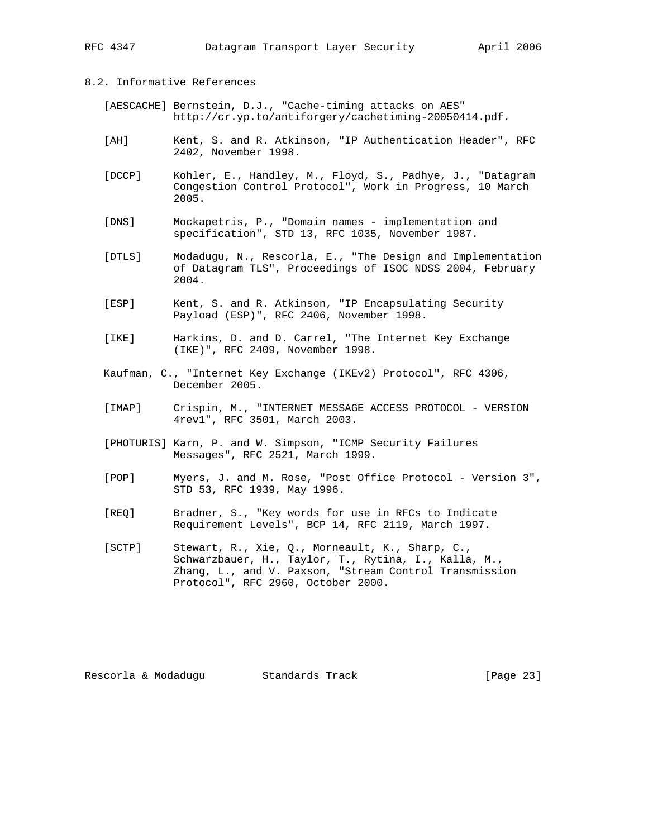## 8.2. Informative References

- [AESCACHE] Bernstein, D.J., "Cache-timing attacks on AES" http://cr.yp.to/antiforgery/cachetiming-20050414.pdf.
- [AH] Kent, S. and R. Atkinson, "IP Authentication Header", RFC 2402, November 1998.
- [DCCP] Kohler, E., Handley, M., Floyd, S., Padhye, J., "Datagram Congestion Control Protocol", Work in Progress, 10 March 2005.
- [DNS] Mockapetris, P., "Domain names implementation and specification", STD 13, RFC 1035, November 1987.
- [DTLS] Modadugu, N., Rescorla, E., "The Design and Implementation of Datagram TLS", Proceedings of ISOC NDSS 2004, February 2004.
- [ESP] Kent, S. and R. Atkinson, "IP Encapsulating Security Payload (ESP)", RFC 2406, November 1998.
- [IKE] Harkins, D. and D. Carrel, "The Internet Key Exchange (IKE)", RFC 2409, November 1998.
- Kaufman, C., "Internet Key Exchange (IKEv2) Protocol", RFC 4306, December 2005.
- [IMAP] Crispin, M., "INTERNET MESSAGE ACCESS PROTOCOL VERSION 4rev1", RFC 3501, March 2003.
- [PHOTURIS] Karn, P. and W. Simpson, "ICMP Security Failures Messages", RFC 2521, March 1999.
- [POP] Myers, J. and M. Rose, "Post Office Protocol Version 3", STD 53, RFC 1939, May 1996.
- [REQ] Bradner, S., "Key words for use in RFCs to Indicate Requirement Levels", BCP 14, RFC 2119, March 1997.
- [SCTP] Stewart, R., Xie, Q., Morneault, K., Sharp, C., Schwarzbauer, H., Taylor, T., Rytina, I., Kalla, M., Zhang, L., and V. Paxson, "Stream Control Transmission Protocol", RFC 2960, October 2000.

Rescorla & Modadugu Standards Track [Page 23]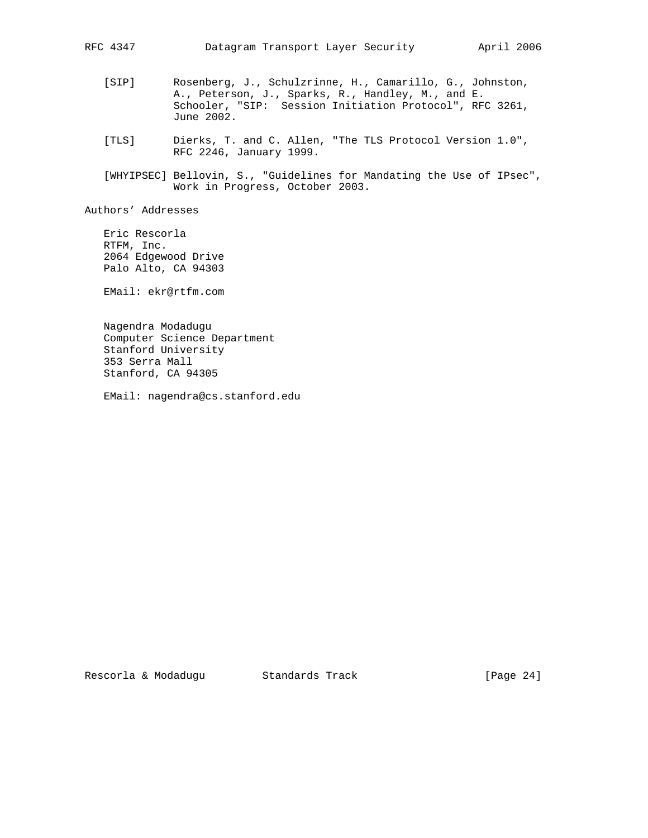- [SIP] Rosenberg, J., Schulzrinne, H., Camarillo, G., Johnston, A., Peterson, J., Sparks, R., Handley, M., and E. Schooler, "SIP: Session Initiation Protocol", RFC 3261, June 2002.
- [TLS] Dierks, T. and C. Allen, "The TLS Protocol Version 1.0", RFC 2246, January 1999.
- [WHYIPSEC] Bellovin, S., "Guidelines for Mandating the Use of IPsec", Work in Progress, October 2003.

Authors' Addresses

 Eric Rescorla RTFM, Inc. 2064 Edgewood Drive Palo Alto, CA 94303

EMail: ekr@rtfm.com

 Nagendra Modadugu Computer Science Department Stanford University 353 Serra Mall Stanford, CA 94305

EMail: nagendra@cs.stanford.edu

Rescorla & Modadugu Standards Track [Page 24]